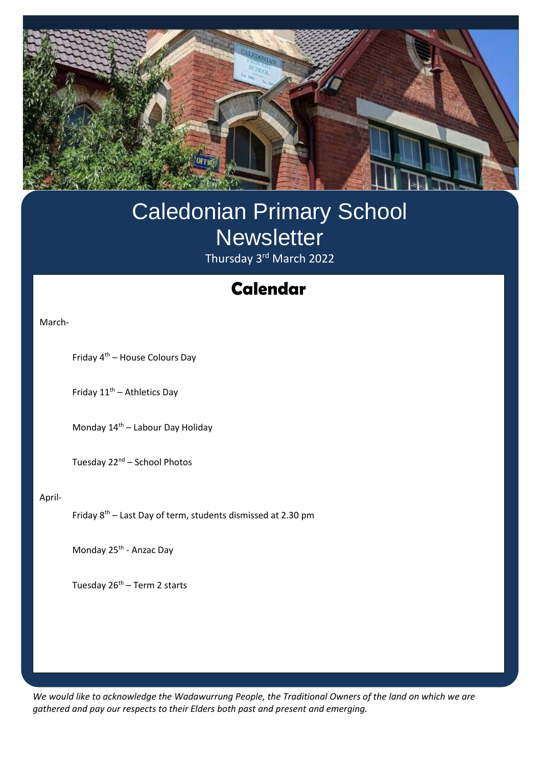

# Caledonian Primary School **Newsletter** Thursday 3<sup>rd</sup> March 2022

# **Swimming Calendar**

March-

Friday 4th – House Colours Day

Friday  $11^{th}$  – Athletics Day

Monday  $14<sup>th</sup>$  – Labour Day Holiday

Tuesday 22<sup>nd</sup> – School Photos

#### April-

ī

Friday  $8<sup>th</sup>$  – Last Day of term, students dismissed at 2.30 pm

Monday 25<sup>th</sup> - Anzac Day

Tuesday  $26<sup>th</sup>$  – Term 2 starts

*We would like to acknowledge the Wadawurrung People, the Traditional Owners of the land on which we are gathered and pay our respects to their Elders both past and present and emerging.*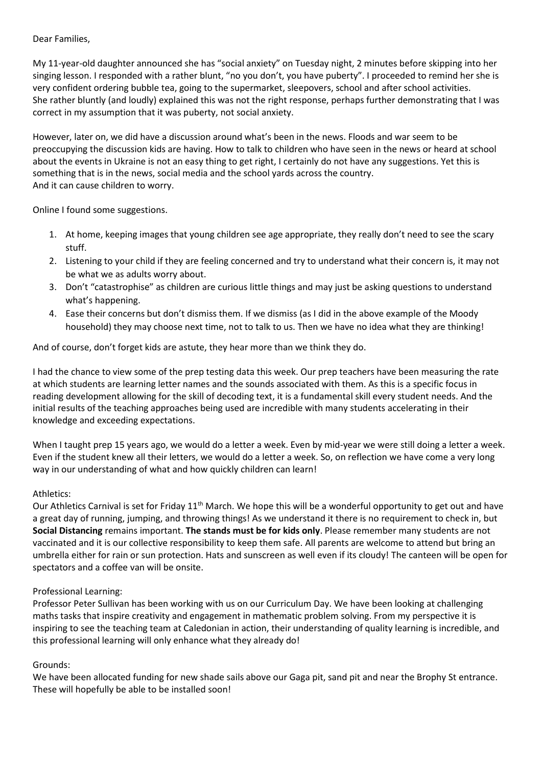Dear Families,

My 11-year-old daughter announced she has "social anxiety" on Tuesday night, 2 minutes before skipping into her singing lesson. I responded with a rather blunt, "no you don't, you have puberty". I proceeded to remind her she is very confident ordering bubble tea, going to the supermarket, sleepovers, school and after school activities. She rather bluntly (and loudly) explained this was not the right response, perhaps further demonstrating that I was correct in my assumption that it was puberty, not social anxiety.

However, later on, we did have a discussion around what's been in the news. Floods and war seem to be preoccupying the discussion kids are having. How to talk to children who have seen in the news or heard at school about the events in Ukraine is not an easy thing to get right, I certainly do not have any suggestions. Yet this is something that is in the news, social media and the school yards across the country. And it can cause children to worry.

Online I found some suggestions.

- 1. At home, keeping images that young children see age appropriate, they really don't need to see the scary stuff.
- 2. Listening to your child if they are feeling concerned and try to understand what their concern is, it may not be what we as adults worry about.
- 3. Don't "catastrophise" as children are curious little things and may just be asking questions to understand what's happening.
- 4. Ease their concerns but don't dismiss them. If we dismiss (as I did in the above example of the Moody household) they may choose next time, not to talk to us. Then we have no idea what they are thinking!

And of course, don't forget kids are astute, they hear more than we think they do.

I had the chance to view some of the prep testing data this week. Our prep teachers have been measuring the rate at which students are learning letter names and the sounds associated with them. As this is a specific focus in reading development allowing for the skill of decoding text, it is a fundamental skill every student needs. And the initial results of the teaching approaches being used are incredible with many students accelerating in their knowledge and exceeding expectations.

When I taught prep 15 years ago, we would do a letter a week. Even by mid-year we were still doing a letter a week. Even if the student knew all their letters, we would do a letter a week. So, on reflection we have come a very long way in our understanding of what and how quickly children can learn!

# Athletics:

Our Athletics Carnival is set for Friday 11<sup>th</sup> March. We hope this will be a wonderful opportunity to get out and have a great day of running, jumping, and throwing things! As we understand it there is no requirement to check in, but **Social Distancing** remains important. **The stands must be for kids only**. Please remember many students are not vaccinated and it is our collective responsibility to keep them safe. All parents are welcome to attend but bring an umbrella either for rain or sun protection. Hats and sunscreen as well even if its cloudy! The canteen will be open for spectators and a coffee van will be onsite.

# Professional Learning:

Professor Peter Sullivan has been working with us on our Curriculum Day. We have been looking at challenging maths tasks that inspire creativity and engagement in mathematic problem solving. From my perspective it is inspiring to see the teaching team at Caledonian in action, their understanding of quality learning is incredible, and this professional learning will only enhance what they already do!

#### Grounds:

We have been allocated funding for new shade sails above our Gaga pit, sand pit and near the Brophy St entrance. These will hopefully be able to be installed soon!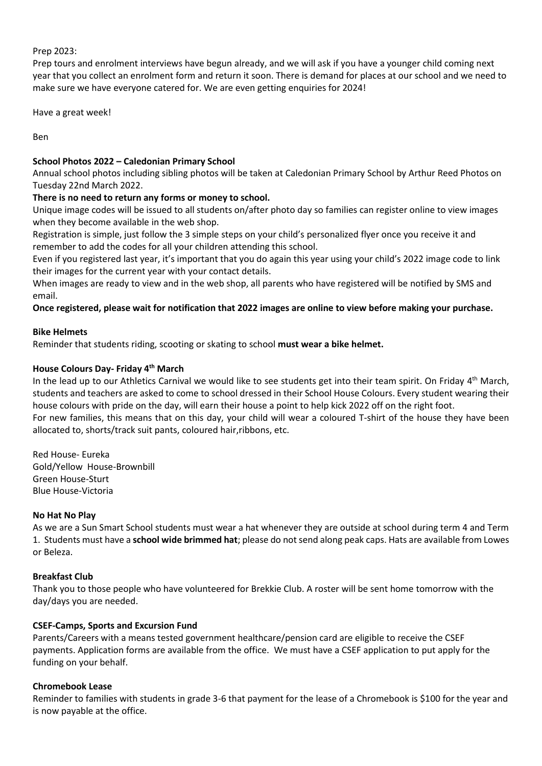### Prep 2023:

Prep tours and enrolment interviews have begun already, and we will ask if you have a younger child coming next year that you collect an enrolment form and return it soon. There is demand for places at our school and we need to make sure we have everyone catered for. We are even getting enquiries for 2024!

Have a great week!

Ben

# **School Photos 2022 – Caledonian Primary School**

Annual school photos including sibling photos will be taken at Caledonian Primary School by Arthur Reed Photos on Tuesday 22nd March 2022.

# **There is no need to return any forms or money to school.**

Unique image codes will be issued to all students on/after photo day so families can register online to view images when they become available in the web shop.

Registration is simple, just follow the 3 simple steps on your child's personalized flyer once you receive it and remember to add the codes for all your children attending this school.

Even if you registered last year, it's important that you do again this year using your child's 2022 image code to link their images for the current year with your contact details.

When images are ready to view and in the web shop, all parents who have registered will be notified by SMS and email.

**Once registered, please wait for notification that 2022 images are online to view before making your purchase.**

### **Bike Helmets**

Reminder that students riding, scooting or skating to school **must wear a bike helmet.**

### **House Colours Day- Friday 4 th March**

In the lead up to our Athletics Carnival we would like to see students get into their team spirit. On Friday 4<sup>th</sup> March, students and teachers are asked to come to school dressed in their School House Colours. Every student wearing their house colours with pride on the day, will earn their house a point to help kick 2022 off on the right foot. For new families, this means that on this day, your child will wear a coloured T-shirt of the house they have been allocated to, shorts/track suit pants, coloured hair,ribbons, etc.

Red House- Eureka Gold/Yellow House-Brownbill Green House-Sturt Blue House-Victoria

#### **No Hat No Play**

As we are a Sun Smart School students must wear a hat whenever they are outside at school during term 4 and Term 1. Students must have a **school wide brimmed hat**; please do not send along peak caps. Hats are available from Lowes or Beleza.

# **Breakfast Club**

Thank you to those people who have volunteered for Brekkie Club. A roster will be sent home tomorrow with the day/days you are needed.

# **CSEF-Camps, Sports and Excursion Fund**

Parents/Careers with a means tested government healthcare/pension card are eligible to receive the CSEF payments. Application forms are available from the office. We must have a CSEF application to put apply for the funding on your behalf.

# **Chromebook Lease**

Reminder to families with students in grade 3-6 that payment for the lease of a Chromebook is \$100 for the year and is now payable at the office.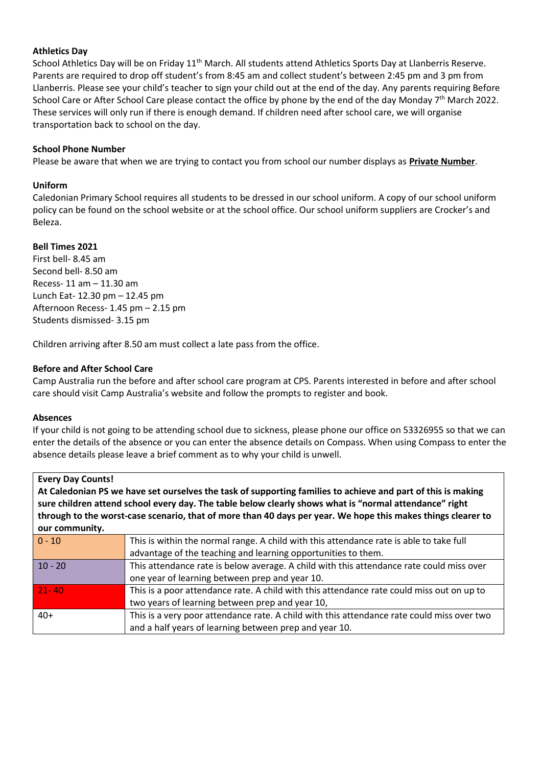#### **Athletics Day**

School Athletics Day will be on Friday 11<sup>th</sup> March. All students attend Athletics Sports Day at Llanberris Reserve. Parents are required to drop off student's from 8:45 am and collect student's between 2:45 pm and 3 pm from Llanberris. Please see your child's teacher to sign your child out at the end of the day. Any parents requiring Before School Care or After School Care please contact the office by phone by the end of the day Monday 7<sup>th</sup> March 2022. These services will only run if there is enough demand. If children need after school care, we will organise transportation back to school on the day.

## **School Phone Number**

Please be aware that when we are trying to contact you from school our number displays as **Private Number**.

#### **Uniform**

Caledonian Primary School requires all students to be dressed in our school uniform. A copy of our school uniform policy can be found on the school website or at the school office. Our school uniform suppliers are Crocker's and Beleza.

### **Bell Times 2021**

First bell- 8.45 am Second bell- 8.50 am Recess- 11 am – 11.30 am Lunch Eat- 12.30 pm – 12.45 pm Afternoon Recess- 1.45 pm – 2.15 pm Students dismissed- 3.15 pm

Children arriving after 8.50 am must collect a late pass from the office.

### **Before and After School Care**

Camp Australia run the before and after school care program at CPS. Parents interested in before and after school care should visit Camp Australia's website and follow the prompts to register and book.

#### **Absences**

If your child is not going to be attending school due to sickness, please phone our office on 53326955 so that we can enter the details of the absence or you can enter the absence details on Compass. When using Compass to enter the absence details please leave a brief comment as to why your child is unwell.

| <b>Every Day Counts!</b>                                                                                     |                                                                                                                |
|--------------------------------------------------------------------------------------------------------------|----------------------------------------------------------------------------------------------------------------|
| At Caledonian PS we have set ourselves the task of supporting families to achieve and part of this is making |                                                                                                                |
| sure children attend school every day. The table below clearly shows what is "normal attendance" right       |                                                                                                                |
| through to the worst-case scenario, that of more than 40 days per year. We hope this makes things clearer to |                                                                                                                |
| our community.                                                                                               |                                                                                                                |
| $\sim$ $\sim$                                                                                                | This is contributed to a concert company. A stabilization that extremely make the state to a late the field of |

| $  0 - 10$ | This is within the normal range. A child with this attendance rate is able to take full    |
|------------|--------------------------------------------------------------------------------------------|
|            | advantage of the teaching and learning opportunities to them.                              |
| $10 - 20$  | This attendance rate is below average. A child with this attendance rate could miss over   |
|            | one year of learning between prep and year 10.                                             |
| $21 - 40$  | This is a poor attendance rate. A child with this attendance rate could miss out on up to  |
|            | two years of learning between prep and year 10,                                            |
| $40+$      | This is a very poor attendance rate. A child with this attendance rate could miss over two |
|            | and a half years of learning between prep and year 10.                                     |